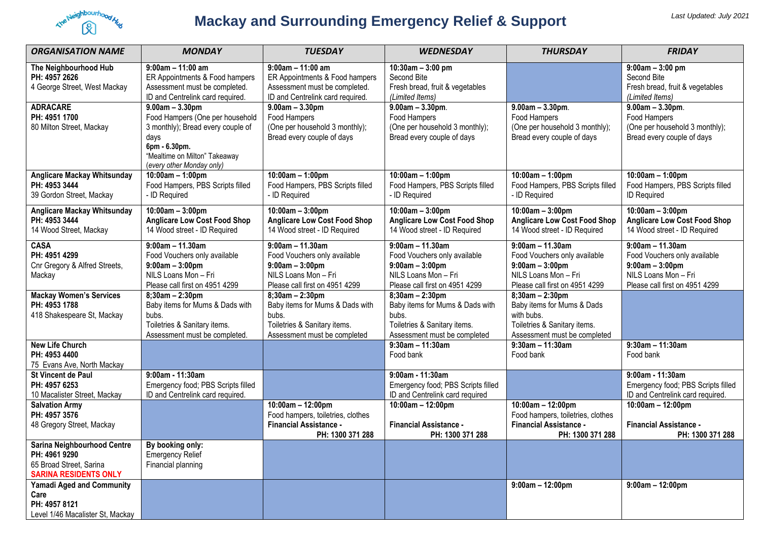

# **Mackay and Surrounding Emergency Relief & Support**

| <b>ORGANISATION NAME</b>                                                                                | <b>MONDAY</b>                                                                                                                                                                    | <b>TUESDAY</b>                                                                                                                  | <b>WEDNESDAY</b>                                                                                                                | <b>THURSDAY</b>                                                                                                                 | <b>FRIDAY</b>                                                                                                                   |
|---------------------------------------------------------------------------------------------------------|----------------------------------------------------------------------------------------------------------------------------------------------------------------------------------|---------------------------------------------------------------------------------------------------------------------------------|---------------------------------------------------------------------------------------------------------------------------------|---------------------------------------------------------------------------------------------------------------------------------|---------------------------------------------------------------------------------------------------------------------------------|
| The Neighbourhood Hub<br>PH: 4957 2626<br>4 George Street, West Mackay                                  | $9:00am - 11:00am$<br>ER Appointments & Food hampers<br>Assessment must be completed.<br>ID and Centrelink card required.                                                        | $9:00am - 11:00am$<br>ER Appointments & Food hampers<br>Assessment must be completed.<br>ID and Centrelink card required.       | $10:30$ am $-3:00$ pm<br>Second Bite<br>Fresh bread, fruit & vegetables<br>(Limited Items)                                      |                                                                                                                                 | $9:00am - 3:00 pm$<br>Second Bite<br>Fresh bread, fruit & vegetables<br>(Limited Items)                                         |
| <b>ADRACARE</b><br>PH: 4951 1700<br>80 Milton Street, Mackay                                            | $9.00am - 3.30pm$<br>Food Hampers (One per household<br>3 monthly); Bread every couple of<br>days<br>6pm - 6.30pm.<br>"Mealtime on Milton" Takeaway<br>(every other Monday only) | $9.00am - 3.30pm$<br>Food Hampers<br>(One per household 3 monthly);<br>Bread every couple of days                               | $9.00am - 3.30pm.$<br>Food Hampers<br>(One per household 3 monthly);<br>Bread every couple of days                              | $9.00am - 3.30pm.$<br>Food Hampers<br>(One per household 3 monthly);<br>Bread every couple of days                              | $9.00am - 3.30pm.$<br>Food Hampers<br>(One per household 3 monthly);<br>Bread every couple of days                              |
| <b>Anglicare Mackay Whitsunday</b><br>PH: 4953 3444<br>39 Gordon Street, Mackay                         | $10:00am - 1:00pm$<br>Food Hampers, PBS Scripts filled<br>- ID Required                                                                                                          | $10:00am - 1:00pm$<br>Food Hampers, PBS Scripts filled<br>- ID Required                                                         | $10:00am - 1:00pm$<br>Food Hampers, PBS Scripts filled<br>- ID Required                                                         | $10:00am - 1:00pm$<br>Food Hampers, PBS Scripts filled<br>- ID Required                                                         | $10:00$ am - 1:00pm<br>Food Hampers, PBS Scripts filled<br><b>ID Required</b>                                                   |
| <b>Anglicare Mackay Whitsunday</b><br>PH: 4953 3444<br>14 Wood Street, Mackay                           | $10:00am - 3:00pm$<br><b>Anglicare Low Cost Food Shop</b><br>14 Wood street - ID Required                                                                                        | $10:00am - 3:00pm$<br><b>Anglicare Low Cost Food Shop</b><br>14 Wood street - ID Required                                       | $10:00am - 3:00pm$<br><b>Anglicare Low Cost Food Shop</b><br>14 Wood street - ID Required                                       | $10:00am - 3:00pm$<br><b>Anglicare Low Cost Food Shop</b><br>14 Wood street - ID Required                                       | $10:00am - 3:00pm$<br><b>Anglicare Low Cost Food Shop</b><br>14 Wood street - ID Required                                       |
| <b>CASA</b><br>PH: 4951 4299<br>Cnr Gregory & Alfred Streets,<br>Mackay                                 | $9:00am - 11.30am$<br>Food Vouchers only available<br>$9:00am - 3:00pm$<br>NILS Loans Mon - Fri<br>Please call first on 4951 4299                                                | $9:00am - 11.30am$<br>Food Vouchers only available<br>$9:00am - 3:00pm$<br>NILS Loans Mon-Fri<br>Please call first on 4951 4299 | $9:00am - 11.30am$<br>Food Vouchers only available<br>$9:00am - 3:00pm$<br>NILS Loans Mon-Fri<br>Please call first on 4951 4299 | $9:00am - 11.30am$<br>Food Vouchers only available<br>$9:00am - 3:00pm$<br>NILS Loans Mon-Fri<br>Please call first on 4951 4299 | $9:00am - 11.30am$<br>Food Vouchers only available<br>$9:00am - 3:00pm$<br>NILS Loans Mon-Fri<br>Please call first on 4951 4299 |
| <b>Mackay Women's Services</b><br>PH: 4953 1788<br>418 Shakespeare St, Mackay                           | $8;30am - 2:30pm$<br>Baby items for Mums & Dads with<br>bubs.<br>Toiletries & Sanitary items.<br>Assessment must be completed.                                                   | $8;30$ am - 2:30pm<br>Baby items for Mums & Dads with<br>bubs.<br>Toiletries & Sanitary items.<br>Assessment must be completed  | $8;30am - 2:30pm$<br>Baby items for Mums & Dads with<br>bubs.<br>Toiletries & Sanitary items.<br>Assessment must be completed   | $8;30am - 2:30pm$<br>Baby items for Mums & Dads<br>with bubs.<br>Toiletries & Sanitary items.<br>Assessment must be completed   |                                                                                                                                 |
| <b>New Life Church</b><br>PH: 4953 4400<br>75 Evans Ave, North Mackay                                   |                                                                                                                                                                                  |                                                                                                                                 | $9:30$ am - 11:30am<br>Food bank                                                                                                | $9:30$ am - 11:30am<br>Food bank                                                                                                | $9:30am - 11:30am$<br>Food bank                                                                                                 |
| St Vincent de Paul<br>PH: 4957 6253<br>10 Macalister Street, Mackay                                     | 9:00am - 11:30am<br>Emergency food; PBS Scripts filled<br>ID and Centrelink card required.                                                                                       |                                                                                                                                 | 9:00am - 11:30am<br>Emergency food; PBS Scripts filled<br>ID and Centrelink card required                                       |                                                                                                                                 | 9:00am - 11:30am<br>Emergency food; PBS Scripts filled<br>ID and Centrelink card required.                                      |
| <b>Salvation Army</b><br>PH: 4957 3576<br>48 Gregory Street, Mackay                                     |                                                                                                                                                                                  | 10:00am - 12:00pm<br>Food hampers, toiletries, clothes<br><b>Financial Assistance -</b><br>PH: 1300 371 288                     | 10:00am - 12:00pm<br><b>Financial Assistance -</b><br>PH: 1300 371 288                                                          | $10:00am - 12:00pm$<br>Food hampers, toiletries, clothes<br><b>Financial Assistance -</b><br>PH: 1300 371 288                   | $10:00$ am - 12:00pm<br><b>Financial Assistance -</b><br>PH: 1300 371 288                                                       |
| Sarina Neighbourhood Centre<br>PH: 4961 9290<br>65 Broad Street, Sarina<br><b>SARINA RESIDENTS ONLY</b> | By booking only:<br><b>Emergency Relief</b><br>Financial planning                                                                                                                |                                                                                                                                 |                                                                                                                                 |                                                                                                                                 |                                                                                                                                 |
| <b>Yamadi Aged and Community</b><br>Care<br>PH: 4957 8121<br>Level 1/46 Macalister St, Mackay           |                                                                                                                                                                                  |                                                                                                                                 |                                                                                                                                 | $9:00am - 12:00pm$                                                                                                              | $9:00am - 12:00pm$                                                                                                              |